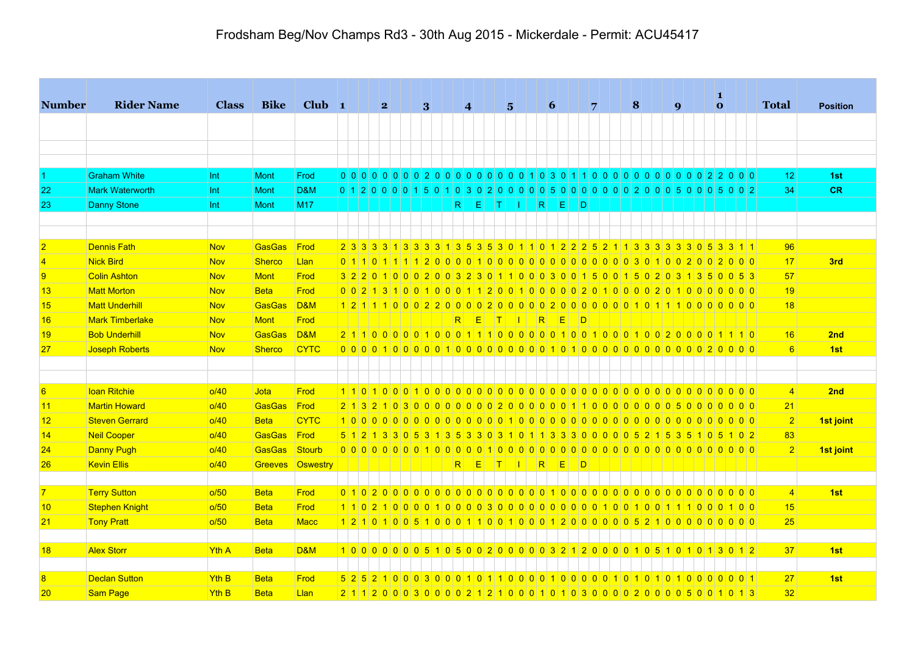|                 |                        |                  | <b>Bike</b>    | $Club$ 1         |  | 2 <sub>2</sub> | 3 <sup>1</sup> | $\vert 4 \vert$ |                                                                                   |            | $5\overline{ }$ |   | $\vert 6 \vert$ |      | 7              |  | 8 |  | $\boldsymbol{q}$ |  | $\bf{0}$ |  | <b>Total</b>          | <b>Position</b> |
|-----------------|------------------------|------------------|----------------|------------------|--|----------------|----------------|-----------------|-----------------------------------------------------------------------------------|------------|-----------------|---|-----------------|------|----------------|--|---|--|------------------|--|----------|--|-----------------------|-----------------|
|                 |                        |                  |                |                  |  |                |                |                 |                                                                                   |            |                 |   |                 |      |                |  |   |  |                  |  |          |  |                       |                 |
|                 |                        |                  |                |                  |  |                |                |                 |                                                                                   |            |                 |   |                 |      |                |  |   |  |                  |  |          |  |                       |                 |
|                 |                        |                  |                |                  |  |                |                |                 |                                                                                   |            |                 |   |                 |      |                |  |   |  |                  |  |          |  |                       |                 |
|                 | <b>Graham White</b>    | Int              | <b>Mont</b>    | Frod             |  |                |                |                 |                                                                                   |            |                 |   |                 |      |                |  |   |  |                  |  |          |  | 12                    | 1st             |
| 22              | <b>Mark Waterworth</b> | Int              | <b>Mont</b>    | D&M              |  |                |                |                 | 0 1 2 0 0 0 0 1 5 0 1 0 3 0 2 0 0 0 0 0 5 0 0 0 0 0 0 0 0 2 0 0 0 5 0 0 0 5 0 0 2 |            |                 |   |                 |      |                |  |   |  |                  |  |          |  | 34                    | <b>CR</b>       |
| 23              | <b>Danny Stone</b>     | Int              | <b>Mont</b>    | <b>M17</b>       |  |                |                | R <sub>1</sub>  |                                                                                   | EL ITI III |                 | R |                 | IEI. | ⊣D             |  |   |  |                  |  |          |  |                       |                 |
|                 |                        |                  |                |                  |  |                |                |                 |                                                                                   |            |                 |   |                 |      |                |  |   |  |                  |  |          |  |                       |                 |
|                 |                        |                  |                |                  |  |                |                |                 |                                                                                   |            |                 |   |                 |      |                |  |   |  |                  |  |          |  |                       |                 |
| $\overline{2}$  | <b>Dennis Fath</b>     | <b>Nov</b>       | GasGas         | Frod             |  |                |                |                 | 2 3 3 3 3 4 3 3 3 4 3 5 3 6 3 0 1 1 0 1 2 2 2 5 2 1 1 3 3 3 3 3 3 0 5 3 3 1 1     |            |                 |   |                 |      |                |  |   |  |                  |  |          |  | 96                    |                 |
| $\overline{4}$  | Nick Bird              | <b>Nov</b>       | <b>Sherco</b>  | Llan             |  |                |                |                 |                                                                                   |            |                 |   |                 |      |                |  |   |  |                  |  |          |  | 17                    | 3rd             |
| $\overline{9}$  | <b>Colin Ashton</b>    | <b>Nov</b>       | Mont           | Frod             |  |                |                |                 | 3 2 2 0 1 0 0 0 2 0 0 3 2 3 0 1 1 0 0 0 3 0 0 1 5 0 0 1 5 0 2 0 3 1 3 5 0 0 5 3   |            |                 |   |                 |      |                |  |   |  |                  |  |          |  | 57                    |                 |
| 13              | <b>Matt Morton</b>     | <b>Nov</b>       | <b>Beta</b>    | Frod             |  |                |                |                 |                                                                                   |            |                 |   |                 |      |                |  |   |  |                  |  |          |  | 19                    |                 |
| 15              | <b>Matt Underhill</b>  | <b>Nov</b>       | GasGas         | $\overline{DBM}$ |  |                |                |                 |                                                                                   |            |                 |   |                 |      |                |  |   |  |                  |  |          |  | 18                    |                 |
| 16              | <b>Mark Timberlake</b> | <b>Nov</b>       | Mont           | Frod             |  |                |                |                 | RIEITIIKED                                                                        |            |                 |   |                 |      |                |  |   |  |                  |  |          |  |                       |                 |
| 19              | <b>Bob Underhill</b>   | <b>Nov</b>       | GasGas         | <b>D&amp;M</b>   |  |                |                |                 |                                                                                   |            |                 |   |                 |      |                |  |   |  |                  |  |          |  | 16                    | 2nd             |
| 27              | Joseph Roberts         | <b>Nov</b>       | <b>Sherco</b>  | <b>CYTC</b>      |  |                |                |                 |                                                                                   |            |                 |   |                 |      |                |  |   |  |                  |  |          |  | $6 \mid$              | 1st             |
|                 |                        |                  |                |                  |  |                |                |                 |                                                                                   |            |                 |   |                 |      |                |  |   |  |                  |  |          |  |                       |                 |
|                 |                        |                  |                |                  |  |                |                |                 |                                                                                   |            |                 |   |                 |      |                |  |   |  |                  |  |          |  |                       |                 |
| 6               | <b>loan Ritchie</b>    | o/40             | <b>Jota</b>    | Frod             |  |                |                |                 |                                                                                   |            |                 |   |                 |      |                |  |   |  |                  |  |          |  | $\vert 4 \vert$       | 2nd             |
| 11              | <b>Martin Howard</b>   | o/40             | GasGas         | Frod             |  |                |                |                 |                                                                                   |            |                 |   |                 |      |                |  |   |  |                  |  |          |  | 21                    |                 |
| 12              | <b>Steven Gerrard</b>  | o/40             | <b>Beta</b>    | <b>CYTC</b>      |  |                |                |                 |                                                                                   |            |                 |   |                 |      |                |  |   |  |                  |  |          |  | 2                     | 1st joint       |
| 14              | Neil Cooper            | o/40             | <b>GasGas</b>  | Frod             |  |                |                |                 | 5 1 2 1 3 3 0 5 3 1 3 5 3 3 0 3 1 0 1 1 3 3 3 0 0 0 0 0 5 2 1 5 3 5 1 0 5 1 0 2   |            |                 |   |                 |      |                |  |   |  |                  |  |          |  | 83                    |                 |
| 24              | <b>Danny Pugh</b>      | o/40             | <b>GasGas</b>  | <b>Stourb</b>    |  |                |                |                 |                                                                                   |            |                 |   |                 |      |                |  |   |  |                  |  |          |  | 2                     | 1st joint       |
| 26              | <b>Kevin Ellis</b>     | o/40             | <b>Greeves</b> | Oswestry         |  |                |                | R <sub>1</sub>  | IE.                                                                               | HT 1       | - 11 - 1        | R |                 | E    | $\overline{D}$ |  |   |  |                  |  |          |  |                       |                 |
|                 |                        |                  |                |                  |  |                |                |                 |                                                                                   |            |                 |   |                 |      |                |  |   |  |                  |  |          |  |                       |                 |
| $\overline{7}$  | <b>Terry Sutton</b>    | o/50             | <b>Beta</b>    | Frod             |  |                |                |                 |                                                                                   |            |                 |   |                 |      |                |  |   |  |                  |  |          |  | $\vert 4 \vert$<br>15 | 1st             |
| 10              | Stephen Knight         | o/50             | <b>Beta</b>    | Frod             |  |                |                |                 |                                                                                   |            |                 |   |                 |      |                |  |   |  |                  |  |          |  |                       |                 |
| 21              | <b>Tony Pratt</b>      | o/50             | <b>Beta</b>    | Macc             |  |                |                |                 |                                                                                   |            |                 |   |                 |      |                |  |   |  |                  |  |          |  | 25                    |                 |
| 18              | <b>Alex Storr</b>      | Yth A            | <b>Beta</b>    | <b>D&amp;M</b>   |  |                |                |                 | 1000000051050020000032120000105101013012                                          |            |                 |   |                 |      |                |  |   |  |                  |  |          |  | 37                    | 1st             |
|                 |                        |                  |                |                  |  |                |                |                 |                                                                                   |            |                 |   |                 |      |                |  |   |  |                  |  |          |  |                       |                 |
| $\overline{8}$  | <b>Declan Sutton</b>   | <b>Yth B</b>     | <b>Beta</b>    | Frod             |  |                |                |                 |                                                                                   |            |                 |   |                 |      |                |  |   |  |                  |  |          |  | 27                    | 1st             |
| 20 <sub>2</sub> | Sam Page               | Yth <sub>B</sub> | <b>Beta</b>    | Llan             |  |                |                |                 | 2112000300002121000101030000200005001013                                          |            |                 |   |                 |      |                |  |   |  |                  |  |          |  | 32                    |                 |